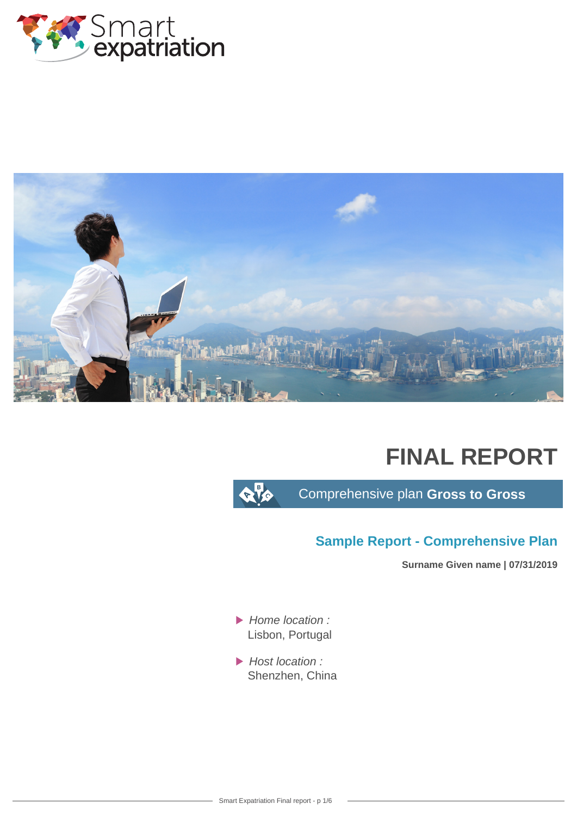



# **FINAL REPORT**

 $\alpha$  to

Comprehensive plan **Gross to Gross**

## **Sample Report - Comprehensive Plan**

**Surname Given name | 07/31/2019**

- $\blacktriangleright$  Home location : Lisbon, Portugal
- Host location : Shenzhen, China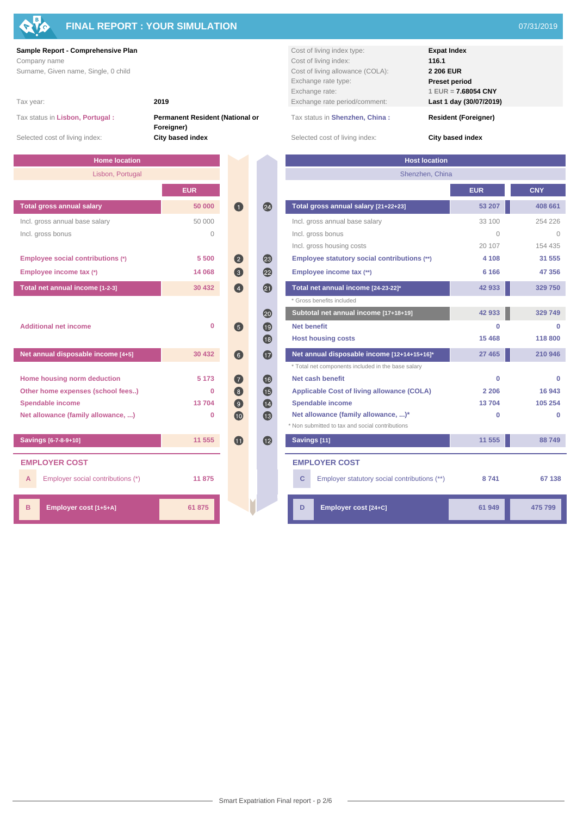

## **FINAL REPORT : YOUR SIMULATION** 07/31/2019

Tax status in **Lisbon, Portugal : Permanent Resident (National or Foreigner)**

| <b>Home location</b>                          |            |                                      | <b>Host location</b>                               |  |  |
|-----------------------------------------------|------------|--------------------------------------|----------------------------------------------------|--|--|
| Lisbon, Portugal                              |            |                                      | Shenzhen, China                                    |  |  |
|                                               | <b>EUR</b> |                                      |                                                    |  |  |
| <b>Total gross annual salary</b>              | 50 000     | 24<br>$\blacksquare$                 | Total gross annual salary [21+22+23]               |  |  |
| Incl. gross annual base salary                | 50 000     |                                      | Incl. gross annual base salary                     |  |  |
| Incl. gross bonus                             | $\bigcap$  |                                      | Incl. gross bonus                                  |  |  |
|                                               |            |                                      | Incl. gross housing costs                          |  |  |
| Employee social contributions (*)             | 5 500      | 23<br>(2)                            | Employee statutory social contributions (**)       |  |  |
| Employee income tax (*)                       | 14 068     | $\boldsymbol{22}$<br>$\circ$         | Employee income tax (**)                           |  |  |
| Total net annual income [1-2-3]               | 30 432     | 20<br>$\left( 4\right)$              | Total net annual income [24-23-22]*                |  |  |
|                                               |            |                                      | * Gross benefits included                          |  |  |
|                                               |            | 20                                   | Subtotal net annual income [17+18+19]              |  |  |
| <b>Additional net income</b>                  | $\bf{0}$   | $\bigcirc$<br>(5)                    | <b>Net benefit</b>                                 |  |  |
|                                               |            | <b>fa</b>                            | <b>Host housing costs</b>                          |  |  |
| Net annual disposable income [4+5]<br>30 432  |            | $\bullet$<br>$\left( 6\right)$       | Net annual disposable income [12+14+15+16]*        |  |  |
|                                               |            |                                      | * Total net components included in the base salary |  |  |
| Home housing norm deduction                   | 5 1 7 3    | $\overline{16}$<br>$\left( 7\right)$ | Net cash benefit                                   |  |  |
| Other home expenses (school fees)<br>$\Omega$ |            | $\left( 3\right)$<br><b>GB</b>       | <b>Applicable Cost of living allowance (COLA)</b>  |  |  |
| <b>Spendable income</b>                       | 13704      | (14)<br>$\left( 9\right)$            | <b>Spendable income</b>                            |  |  |
| Net allowance (family allowance, )            | 0          | <b>B</b><br>(10)                     | Net allowance (family allowance, )*                |  |  |
|                                               |            |                                      | * Non submitted to tax and social contributions    |  |  |
| Savings [6-7-8-9+10]                          | 11 555     | $\bigcirc$<br><b>GD</b>              | Savings [11]                                       |  |  |
| <b>EMPLOYER COST</b>                          |            |                                      | <b>EMPLOYER COST</b>                               |  |  |
| Employer social contributions (*)<br>A        | 11875      |                                      | Employer statutory social contributions (**)<br>C  |  |  |
|                                               |            |                                      |                                                    |  |  |
| B<br>Employer cost [1+5+A]                    | 61 875     |                                      | Employer cost [24+C]<br>D                          |  |  |
|                                               |            |                                      |                                                    |  |  |

**Sample Report - Comprehensive Plan Cost of living index type: Expat Index** Company name **116.1** Cost of living index: **116.1** Cost of living index: **116.1** Surname, Given name, Single, 0 child **Cost of living allowance (COLA): 2 206 EUR**<br> **2 206 EUR** Exchange rate type: **Preset period** Exchange rate: **1 EUR = 7.68054 CNY** Tax year: **2019** Exchange rate period/comment: **Last 1 day (30/07/2019)**

Tax status in **Shenzhen, China : Resident (Foreigner)**

Selected cost of living index: **City based index** Selected cost of living index: **City based index** Selected cost of living index:

| <b>Home location</b>                   |             |                  |                       | <b>Host location</b>                                                                   |                |              |
|----------------------------------------|-------------|------------------|-----------------------|----------------------------------------------------------------------------------------|----------------|--------------|
| Lisbon, Portugal                       |             |                  |                       | Shenzhen, China                                                                        |                |              |
|                                        | <b>EUR</b>  |                  |                       |                                                                                        | <b>EUR</b>     | <b>CNY</b>   |
| <b>Total gross annual salary</b>       | 50 000      | $\bigcirc$       | 24                    | Total gross annual salary [21+22+23]                                                   | 53 207         | 408 661      |
| Incl. gross annual base salary         | 50 000      |                  |                       | Incl. gross annual base salary                                                         | 33 100         | 254 226      |
| Incl. gross bonus                      | $\circ$     |                  |                       | Incl. gross bonus                                                                      | $\overline{0}$ | $\mathbf{0}$ |
|                                        |             |                  |                       | Incl. gross housing costs                                                              | 20 107         | 154 435      |
| Employee social contributions (*)      | 5 500       | $\bullet$        | $\overline{23}$       | Employee statutory social contributions (**)                                           | 4 1 0 8        | 31 555       |
| Employee income tax (*)                | 14 068      | G                | 2                     | Employee income tax (**)                                                               | 6 1 6 6        | 47 356       |
| Total net annual income [1-2-3]        | 30 432      | $\bigcirc$       | 2                     | Total net annual income [24-23-22]*                                                    | 42 933         | 329 750      |
|                                        |             |                  |                       | * Gross benefits included                                                              |                |              |
|                                        |             |                  | 20                    | Subtotal net annual income [17+18+19]                                                  | 42 933         | 329 749      |
| <b>Additional net income</b>           | $\mathbf 0$ | $\left(5\right)$ | (19)                  | <b>Net benefit</b>                                                                     | ŋ              | $\Omega$     |
|                                        |             |                  | $\overline{18}$       | <b>Host housing costs</b>                                                              | 15 4 68        | 118 800      |
| Net annual disposable income [4+5]     | 30 432      | 6                | $\bf \Phi$            | Net annual disposable income [12+14+15+16]*                                            | 27 4 65        | 210 946      |
|                                        |             |                  |                       | * Total net components included in the base salary                                     |                |              |
| Home housing norm deduction            | 5 1 7 3     | $\bullet$        | $\overline{16}$       | Net cash benefit                                                                       | $\bf{0}$       | $\mathbf{0}$ |
| Other home expenses (school fees)      | 0           | 8                | $\mathbf G$           | <b>Applicable Cost of living allowance (COLA)</b>                                      | 2 2 0 6        | 16 943       |
| Spendable income                       | 13704       | $\bullet$        | $\boldsymbol{\omega}$ | <b>Spendable income</b>                                                                | 13704          | 105 254      |
| Net allowance (family allowance, )     | $\bf{0}$    | 10               | $\bigcirc$            | Net allowance (family allowance, )*<br>* Non submitted to tax and social contributions | $\bf{0}$       | $\mathbf{0}$ |
| Savings [6-7-8-9+10]                   | 11 555      | $\bullet$        | $\bullet$             | Savings [11]                                                                           | 11 555         | 88749        |
| <b>EMPLOYER COST</b>                   |             |                  |                       | <b>EMPLOYER COST</b>                                                                   |                |              |
| Employer social contributions (*)<br>А | 11875       |                  |                       | C<br>Employer statutory social contributions (**)                                      | 8741           | 67 138       |
| в<br>Employer cost [1+5+A]             | 61 875      |                  |                       | D<br>Employer cost [24+C]                                                              | 61949          | 475 799      |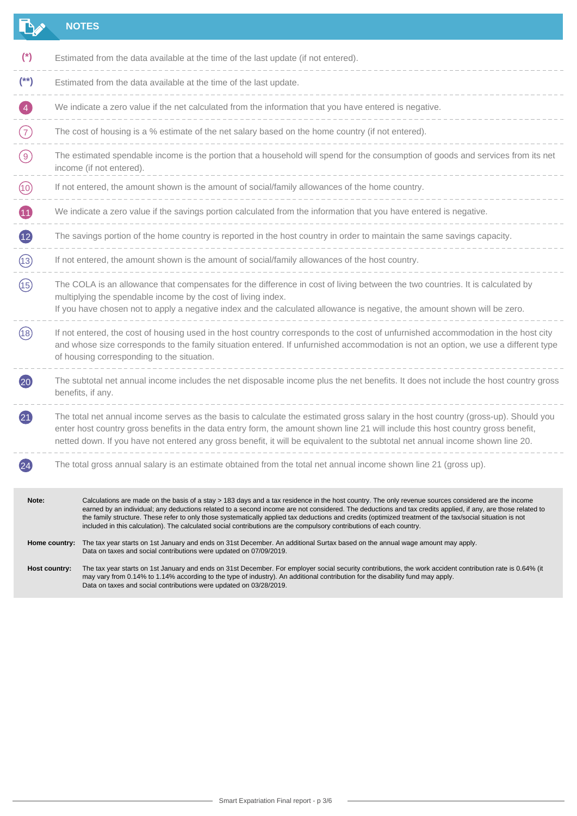|                 |                                                                                                                                                                                                                                                                                                                             | <b>NOTES</b>                                                                                                                                                                                                                                                                                                                                                                                                                                                                                                                                                                                            |  |  |  |
|-----------------|-----------------------------------------------------------------------------------------------------------------------------------------------------------------------------------------------------------------------------------------------------------------------------------------------------------------------------|---------------------------------------------------------------------------------------------------------------------------------------------------------------------------------------------------------------------------------------------------------------------------------------------------------------------------------------------------------------------------------------------------------------------------------------------------------------------------------------------------------------------------------------------------------------------------------------------------------|--|--|--|
| $^{\ast}$       |                                                                                                                                                                                                                                                                                                                             | Estimated from the data available at the time of the last update (if not entered).                                                                                                                                                                                                                                                                                                                                                                                                                                                                                                                      |  |  |  |
| $(*)$           |                                                                                                                                                                                                                                                                                                                             | Estimated from the data available at the time of the last update.                                                                                                                                                                                                                                                                                                                                                                                                                                                                                                                                       |  |  |  |
|                 |                                                                                                                                                                                                                                                                                                                             | We indicate a zero value if the net calculated from the information that you have entered is negative.                                                                                                                                                                                                                                                                                                                                                                                                                                                                                                  |  |  |  |
| (7)             |                                                                                                                                                                                                                                                                                                                             | The cost of housing is a % estimate of the net salary based on the home country (if not entered).                                                                                                                                                                                                                                                                                                                                                                                                                                                                                                       |  |  |  |
| (9)             |                                                                                                                                                                                                                                                                                                                             | The estimated spendable income is the portion that a household will spend for the consumption of goods and services from its net<br>income (if not entered).                                                                                                                                                                                                                                                                                                                                                                                                                                            |  |  |  |
| (10)            |                                                                                                                                                                                                                                                                                                                             | If not entered, the amount shown is the amount of social/family allowances of the home country.                                                                                                                                                                                                                                                                                                                                                                                                                                                                                                         |  |  |  |
| Œ               |                                                                                                                                                                                                                                                                                                                             | We indicate a zero value if the savings portion calculated from the information that you have entered is negative.                                                                                                                                                                                                                                                                                                                                                                                                                                                                                      |  |  |  |
| $\overline{12}$ |                                                                                                                                                                                                                                                                                                                             | The savings portion of the home country is reported in the host country in order to maintain the same savings capacity.                                                                                                                                                                                                                                                                                                                                                                                                                                                                                 |  |  |  |
| (13)            |                                                                                                                                                                                                                                                                                                                             | If not entered, the amount shown is the amount of social/family allowances of the host country.                                                                                                                                                                                                                                                                                                                                                                                                                                                                                                         |  |  |  |
| (15)            | The COLA is an allowance that compensates for the difference in cost of living between the two countries. It is calculated by<br>multiplying the spendable income by the cost of living index.<br>If you have chosen not to apply a negative index and the calculated allowance is negative, the amount shown will be zero. |                                                                                                                                                                                                                                                                                                                                                                                                                                                                                                                                                                                                         |  |  |  |
| (18)            | If not entered, the cost of housing used in the host country corresponds to the cost of unfurnished accommodation in the host city<br>and whose size corresponds to the family situation entered. If unfurnished accommodation is not an option, we use a different type<br>of housing corresponding to the situation.      |                                                                                                                                                                                                                                                                                                                                                                                                                                                                                                                                                                                                         |  |  |  |
| (20)            |                                                                                                                                                                                                                                                                                                                             | The subtotal net annual income includes the net disposable income plus the net benefits. It does not include the host country gross<br>benefits, if any.                                                                                                                                                                                                                                                                                                                                                                                                                                                |  |  |  |
| (21)            |                                                                                                                                                                                                                                                                                                                             | The total net annual income serves as the basis to calculate the estimated gross salary in the host country (gross-up). Should you<br>enter host country gross benefits in the data entry form, the amount shown line 21 will include this host country gross benefit,<br>netted down. If you have not entered any gross benefit, it will be equivalent to the subtotal net annual income shown line 20.                                                                                                                                                                                                |  |  |  |
|                 |                                                                                                                                                                                                                                                                                                                             | The total gross annual salary is an estimate obtained from the total net annual income shown line 21 (gross up).                                                                                                                                                                                                                                                                                                                                                                                                                                                                                        |  |  |  |
| Note:           |                                                                                                                                                                                                                                                                                                                             | Calculations are made on the basis of a stay > 183 days and a tax residence in the host country. The only revenue sources considered are the income<br>earned by an individual; any deductions related to a second income are not considered. The deductions and tax credits applied, if any, are those related to<br>the family structure. These refer to only those systematically applied tax deductions and credits (optimized treatment of the tax/social situation is not<br>included in this calculation). The calculated social contributions are the compulsory contributions of each country. |  |  |  |
|                 |                                                                                                                                                                                                                                                                                                                             | Home country: The tax year starts on 1st January and ends on 31st December. An additional Surtax based on the annual wage amount may apply.<br>Data on taxes and social contributions were updated on 07/09/2019.                                                                                                                                                                                                                                                                                                                                                                                       |  |  |  |
|                 | Host country:                                                                                                                                                                                                                                                                                                               | The tax year starts on 1st January and ends on 31st December. For employer social security contributions, the work accident contribution rate is 0.64% (it<br>may vary from 0.14% to 1.14% according to the type of industry). An additional contribution for the disability fund may apply.<br>Data on taxes and social contributions were updated on 03/28/2019.                                                                                                                                                                                                                                      |  |  |  |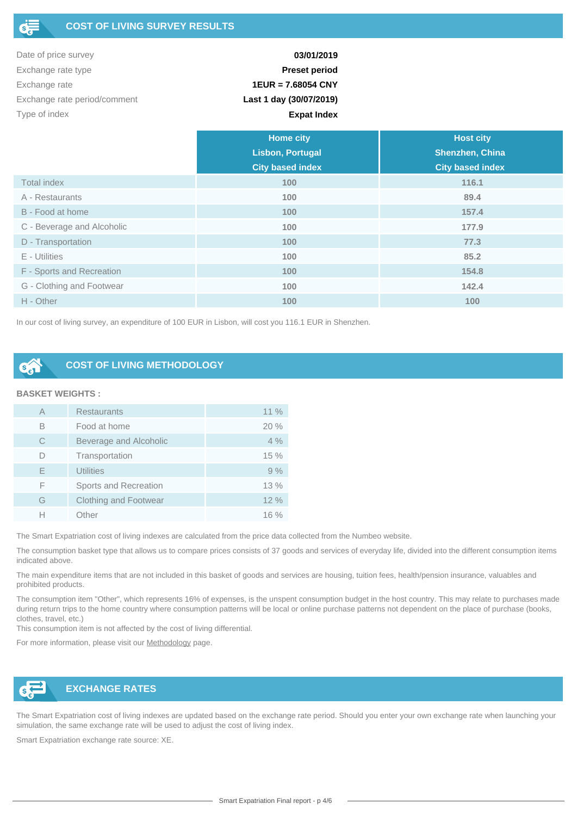| Date of price survey         | 03/01/2019              |
|------------------------------|-------------------------|
| Exchange rate type           | <b>Preset period</b>    |
| Exchange rate                | $1EUR = 7.68054 CNY$    |
| Exchange rate period/comment | Last 1 day (30/07/2019) |
| Type of index                | <b>Expat Index</b>      |

|                            | <b>Home city</b>        | <b>Host city</b>        |  |  |
|----------------------------|-------------------------|-------------------------|--|--|
|                            | <b>Lisbon, Portugal</b> | Shenzhen, China         |  |  |
|                            | <b>City based index</b> | <b>City based index</b> |  |  |
| <b>Total index</b>         | 100                     | 116.1                   |  |  |
| A - Restaurants            | 100                     | 89.4                    |  |  |
| B - Food at home           | 100                     | 157.4                   |  |  |
| C - Beverage and Alcoholic | 100                     | 177.9                   |  |  |
| D - Transportation         | 100                     | 77.3                    |  |  |
| E - Utilities              | 100                     | 85.2                    |  |  |
| F - Sports and Recreation  | 100                     | 154.8                   |  |  |
| G - Clothing and Footwear  | 100                     | 142.4                   |  |  |
| H - Other                  | 100                     | 100                     |  |  |

In our cost of living survey, an expenditure of 100 EUR in Lisbon, will cost you 116.1 EUR in Shenzhen.

### **COST OF LIVING METHODOLOGY**

#### **BASKET WEIGHTS :**

| А | <b>Restaurants</b>           | $11\%$ |
|---|------------------------------|--------|
| B | Food at home                 | 20%    |
| C | Beverage and Alcoholic       | 4%     |
|   | Transportation               | 15%    |
| E | <b>Utilities</b>             | 9%     |
| F | Sports and Recreation        | 13%    |
| G | <b>Clothing and Footwear</b> | 12%    |
|   | Other                        | $16\%$ |

The Smart Expatriation cost of living indexes are calculated from the price data collected from the Numbeo website.

The consumption basket type that allows us to compare prices consists of 37 goods and services of everyday life, divided into the different consumption items indicated above.

The main expenditure items that are not included in this basket of goods and services are housing, tuition fees, health/pension insurance, valuables and prohibited products.

The consumption item "Other", which represents 16% of expenses, is the unspent consumption budget in the host country. This may relate to purchases made during return trips to the home country where consumption patterns will be local or online purchase patterns not dependent on the place of purchase (books, clothes, travel, etc.)

This consumption item is not affected by the cost of living differential.

For more information, please visit our [Methodology](https://www.smart-expatriation.com/fr/content/13-methodologie-calcul-remuneration-package-salaire-expatries) page.



### **EXCHANGE RATES**

The Smart Expatriation cost of living indexes are updated based on the exchange rate period. Should you enter your own exchange rate when launching your simulation, the same exchange rate will be used to adjust the cost of living index.

Smart Expatriation exchange rate source: XE.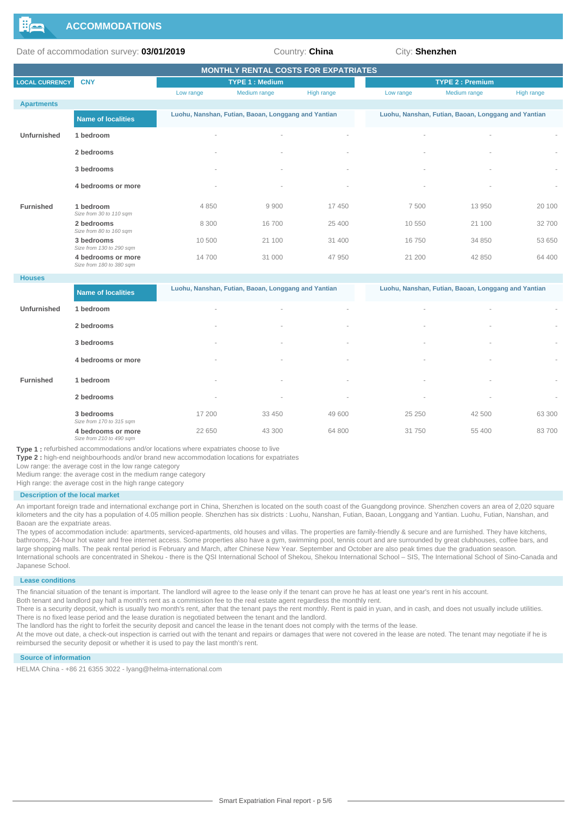

Date of accommodation survey: **03/01/2019** Country: **China** City: **Shenzhen** 

| <b>MONTHLY RENTAL COSTS FOR EXPATRIATES</b> |                                                |           |                                                     |                          |                          |                                                     |            |  |  |
|---------------------------------------------|------------------------------------------------|-----------|-----------------------------------------------------|--------------------------|--------------------------|-----------------------------------------------------|------------|--|--|
| <b>LOCAL CURRENCY</b>                       | <b>CNY</b>                                     |           | <b>TYPE 1: Medium</b>                               |                          |                          | <b>TYPE 2: Premium</b>                              |            |  |  |
|                                             |                                                | Low range | Medium range                                        | High range               | Low range                | Medium range                                        | High range |  |  |
| <b>Apartments</b>                           |                                                |           |                                                     |                          |                          |                                                     |            |  |  |
|                                             | <b>Name of localities</b>                      |           | Luohu, Nanshan, Futian, Baoan, Longgang and Yantian |                          |                          | Luohu, Nanshan, Futian, Baoan, Longgang and Yantian |            |  |  |
| Unfurnished                                 | 1 bedroom                                      |           | $\overline{\phantom{a}}$                            |                          | $\overline{\phantom{a}}$ |                                                     |            |  |  |
|                                             | 2 bedrooms                                     |           | $\overline{\phantom{a}}$                            |                          |                          |                                                     | $\sim$     |  |  |
|                                             | 3 bedrooms                                     |           | $\overline{\phantom{a}}$                            |                          |                          |                                                     |            |  |  |
|                                             | 4 bedrooms or more                             | $\sim$    | $\overline{\phantom{a}}$                            | $\overline{\phantom{a}}$ |                          |                                                     | $\sim$     |  |  |
| <b>Furnished</b>                            | 1 bedroom<br>Size from 30 to 110 sqm           | 4850      | 9900                                                | 17450                    | 7500                     | 13 950                                              | 20 100     |  |  |
|                                             | 2 bedrooms<br>Size from 80 to 160 sqm          | 8 3 0 0   | 16700                                               | 25 400                   | 10 550                   | 21 100                                              | 32700      |  |  |
|                                             | 3 bedrooms<br>Size from 130 to 290 sqm         | 10 500    | 21 100                                              | 31 400                   | 16750                    | 34 850                                              | 53 650     |  |  |
|                                             | 4 bedrooms or more<br>Size from 180 to 380 sqm | 14700     | 31 000                                              | 47 950                   | 21 200                   | 42 850                                              | 64 400     |  |  |

#### **Houses**

|                  | Name of localities                             | Luohu, Nanshan, Futian, Baoan, Longgang and Yantian |                          |        | Luohu, Nanshan, Futian, Baoan, Longgang and Yantian |                          |                          |
|------------------|------------------------------------------------|-----------------------------------------------------|--------------------------|--------|-----------------------------------------------------|--------------------------|--------------------------|
| Unfurnished      | 1 bedroom                                      | $\sim$                                              | $\sim$                   | $\sim$ | $\overline{\phantom{a}}$                            | $\overline{\phantom{a}}$ | $\overline{\phantom{a}}$ |
|                  | 2 bedrooms                                     | $\sim$                                              | $\sim$                   | $\sim$ | $\sim$                                              | $\overline{\phantom{a}}$ | $\sim$                   |
|                  | 3 bedrooms                                     | $\sim$                                              | $\sim$                   | $\sim$ | $\sim$                                              | $\overline{\phantom{a}}$ | $\sim$                   |
|                  | 4 bedrooms or more                             | $\sim$                                              | $\overline{\phantom{a}}$ | $\sim$ | $\overline{\phantom{a}}$                            | $\overline{\phantom{a}}$ | ٠                        |
| <b>Furnished</b> | 1 bedroom                                      | $\sim$                                              | $\sim$                   | $\sim$ | $\sim$                                              | $\overline{\phantom{a}}$ | $\sim$                   |
|                  | 2 bedrooms                                     | $\sim$                                              | $\overline{\phantom{a}}$ | $\sim$ | $\overline{\phantom{a}}$                            | $\overline{\phantom{a}}$ | $\sim$                   |
|                  | 3 bedrooms<br>Size from 170 to 315 sqm         | 17 200                                              | 33 450                   | 49 600 | 25 250                                              | 42 500                   | 63 300                   |
|                  | 4 bedrooms or more<br>Size from 210 to 490 sqm | 22 650                                              | 43 300                   | 64 800 | 31750                                               | 55 400                   | 83700                    |

**Type 1 :** refurbished accommodations and/or locations where expatriates choose to live

**Type 2 :** high-end neighbourhoods and/or brand new accommodation locations for expatriates

Low range: the average cost in the low range category

Medium range: the average cost in the medium range category

High range: the average cost in the high range category

#### **Description of the local market**

An important foreign trade and international exchange port in China, Shenzhen is located on the south coast of the Guangdong province. Shenzhen covers an area of 2,020 square kilometers and the city has a population of 4.05 million people. Shenzhen has six districts : Luohu, Nanshan, Futian, Baoan, Longgang and Yantian. Luohu, Futian, Nanshan, and Baoan are the expatriate areas.

The types of accommodation include: apartments, serviced-apartments, old houses and villas. The properties are family-friendly & secure and are furnished. They have kitchens, bathrooms, 24-hour hot water and free internet access. Some properties also have a gym, swimming pool, tennis court and are surrounded by great clubhouses, coffee bars, and large shopping malls. The peak rental period is February and March, after Chinese New Year. September and October are also peak times due the graduation season. International schools are concentrated in Shekou - there is the QSI International School of Shekou, Shekou International School – SIS, The International School of Sino-Canada and Japanese School.

#### **Lease conditions**

The financial situation of the tenant is important. The landlord will agree to the lease only if the tenant can prove he has at least one year's rent in his account.

Both tenant and landlord pay half a month's rent as a commission fee to the real estate agent regardless the monthly rent.

There is a security deposit, which is usually two month's rent, after that the tenant pays the rent monthly. Rent is paid in yuan, and in cash, and does not usually include utilities. There is no fixed lease period and the lease duration is negotiated between the tenant and the landlord.

The landlord has the right to forfeit the security deposit and cancel the lease in the tenant does not comply with the terms of the lease.

At the move out date, a check-out inspection is carried out with the tenant and repairs or damages that were not covered in the lease are noted. The tenant may negotiate if he is reimbursed the security deposit or whether it is used to pay the last month's rent.

#### **Source of information**

HELMA China - +86 21 6355 3022 - lyang@helma-international.com